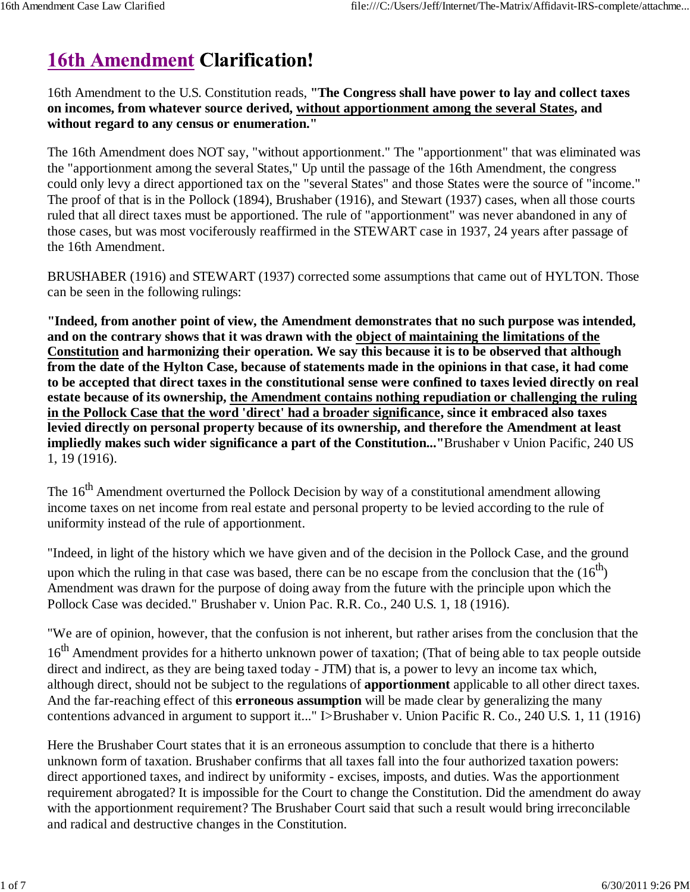# **16th Amendment Clarification!**

16th Amendment to the U.S. Constitution reads, **"The Congress shall have power to lay and collect taxes on incomes, from whatever source derived, without apportionment among the several States, and without regard to any census or enumeration."**

The 16th Amendment does NOT say, "without apportionment." The "apportionment" that was eliminated was the "apportionment among the several States," Up until the passage of the 16th Amendment, the congress could only levy a direct apportioned tax on the "several States" and those States were the source of "income." The proof of that is in the Pollock (1894), Brushaber (1916), and Stewart (1937) cases, when all those courts ruled that all direct taxes must be apportioned. The rule of "apportionment" was never abandoned in any of those cases, but was most vociferously reaffirmed in the STEWART case in 1937, 24 years after passage of the 16th Amendment.

BRUSHABER (1916) and STEWART (1937) corrected some assumptions that came out of HYLTON. Those can be seen in the following rulings:

**"Indeed, from another point of view, the Amendment demonstrates that no such purpose was intended, and on the contrary shows that it was drawn with the object of maintaining the limitations of the Constitution and harmonizing their operation. We say this because it is to be observed that although from the date of the Hylton Case, because of statements made in the opinions in that case, it had come to be accepted that direct taxes in the constitutional sense were confined to taxes levied directly on real estate because of its ownership, the Amendment contains nothing repudiation or challenging the ruling in the Pollock Case that the word 'direct' had a broader significance, since it embraced also taxes levied directly on personal property because of its ownership, and therefore the Amendment at least impliedly makes such wider significance a part of the Constitution..."**Brushaber v Union Pacific, 240 US 1, 19 (1916).

The 16<sup>th</sup> Amendment overturned the Pollock Decision by way of a constitutional amendment allowing income taxes on net income from real estate and personal property to be levied according to the rule of uniformity instead of the rule of apportionment.

"Indeed, in light of the history which we have given and of the decision in the Pollock Case, and the ground upon which the ruling in that case was based, there can be no escape from the conclusion that the  $(16<sup>th</sup>)$ Amendment was drawn for the purpose of doing away from the future with the principle upon which the Pollock Case was decided." Brushaber v. Union Pac. R.R. Co., 240 U.S. 1, 18 (1916).

"We are of opinion, however, that the confusion is not inherent, but rather arises from the conclusion that the 16<sup>th</sup> Amendment provides for a hitherto unknown power of taxation; (That of being able to tax people outside direct and indirect, as they are being taxed today - JTM) that is, a power to levy an income tax which, although direct, should not be subject to the regulations of **apportionment** applicable to all other direct taxes. And the far-reaching effect of this **erroneous assumption** will be made clear by generalizing the many contentions advanced in argument to support it..." I>Brushaber v. Union Pacific R. Co., 240 U.S. 1, 11 (1916)

Here the Brushaber Court states that it is an erroneous assumption to conclude that there is a hitherto unknown form of taxation. Brushaber confirms that all taxes fall into the four authorized taxation powers: direct apportioned taxes, and indirect by uniformity - excises, imposts, and duties. Was the apportionment requirement abrogated? It is impossible for the Court to change the Constitution. Did the amendment do away with the apportionment requirement? The Brushaber Court said that such a result would bring irreconcilable and radical and destructive changes in the Constitution.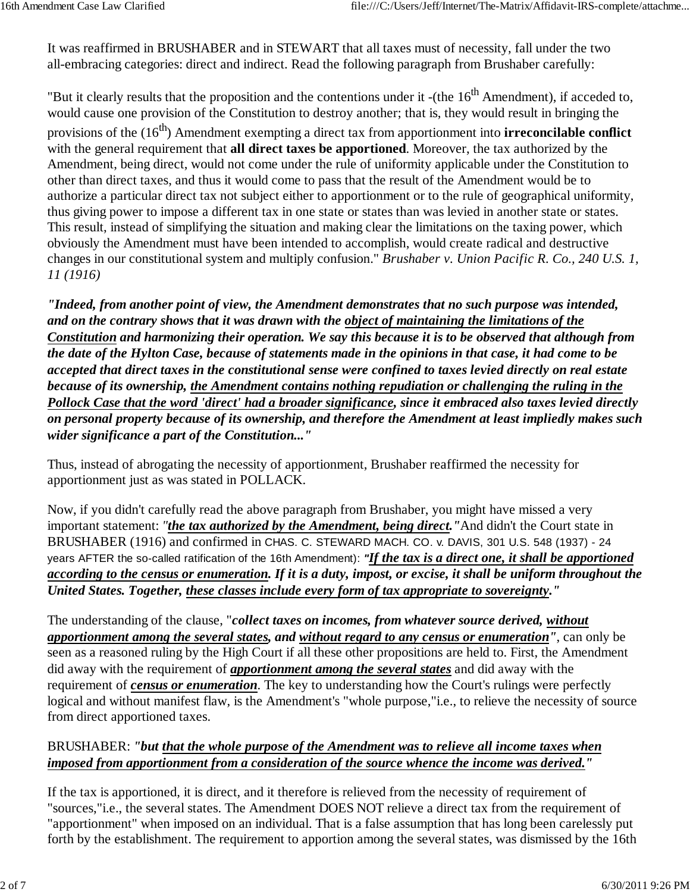It was reaffirmed in BRUSHABER and in STEWART that all taxes must of necessity, fall under the two all-embracing categories: direct and indirect. Read the following paragraph from Brushaber carefully:

"But it clearly results that the proposition and the contentions under it -(the  $16<sup>th</sup>$  Amendment), if acceded to, would cause one provision of the Constitution to destroy another; that is, they would result in bringing the provisions of the (16<sup>th</sup>) Amendment exempting a direct tax from apportionment into **irreconcilable conflict** with the general requirement that **all direct taxes be apportioned**. Moreover, the tax authorized by the Amendment, being direct, would not come under the rule of uniformity applicable under the Constitution to other than direct taxes, and thus it would come to pass that the result of the Amendment would be to authorize a particular direct tax not subject either to apportionment or to the rule of geographical uniformity, thus giving power to impose a different tax in one state or states than was levied in another state or states. This result, instead of simplifying the situation and making clear the limitations on the taxing power, which obviously the Amendment must have been intended to accomplish, would create radical and destructive changes in our constitutional system and multiply confusion." *Brushaber v. Union Pacific R. Co., 240 U.S. 1, 11 (1916)*

*"Indeed, from another point of view, the Amendment demonstrates that no such purpose was intended, and on the contrary shows that it was drawn with the object of maintaining the limitations of the Constitution and harmonizing their operation. We say this because it is to be observed that although from the date of the Hylton Case, because of statements made in the opinions in that case, it had come to be accepted that direct taxes in the constitutional sense were confined to taxes levied directly on real estate because of its ownership, the Amendment contains nothing repudiation or challenging the ruling in the Pollock Case that the word 'direct' had a broader significance, since it embraced also taxes levied directly on personal property because of its ownership, and therefore the Amendment at least impliedly makes such wider significance a part of the Constitution..."*

Thus, instead of abrogating the necessity of apportionment, Brushaber reaffirmed the necessity for apportionment just as was stated in POLLACK.

Now, if you didn't carefully read the above paragraph from Brushaber, you might have missed a very important statement: *"the tax authorized by the Amendment, being direct."*And didn't the Court state in BRUSHABER (1916) and confirmed in CHAS. C. STEWARD MACH. CO. v. DAVIS, 301 U.S. 548 (1937) - 24 years AFTER the so-called ratification of the 16th Amendment): *"If the tax is a direct one, it shall be apportioned according to the census or enumeration. If it is a duty, impost, or excise, it shall be uniform throughout the United States. Together, these classes include every form of tax appropriate to sovereignty."*

The understanding of the clause, "*collect taxes on incomes, from whatever source derived, without apportionment among the several states, and without regard to any census or enumeration"*, can only be seen as a reasoned ruling by the High Court if all these other propositions are held to. First, the Amendment did away with the requirement of *apportionment among the several states* and did away with the requirement of *census or enumeration*. The key to understanding how the Court's rulings were perfectly logical and without manifest flaw, is the Amendment's "whole purpose,"i.e., to relieve the necessity of source from direct apportioned taxes.

# BRUSHABER: *"but that the whole purpose of the Amendment was to relieve all income taxes when imposed from apportionment from a consideration of the source whence the income was derived."*

If the tax is apportioned, it is direct, and it therefore is relieved from the necessity of requirement of "sources,"i.e., the several states. The Amendment DOES NOT relieve a direct tax from the requirement of "apportionment" when imposed on an individual. That is a false assumption that has long been carelessly put forth by the establishment. The requirement to apportion among the several states, was dismissed by the 16th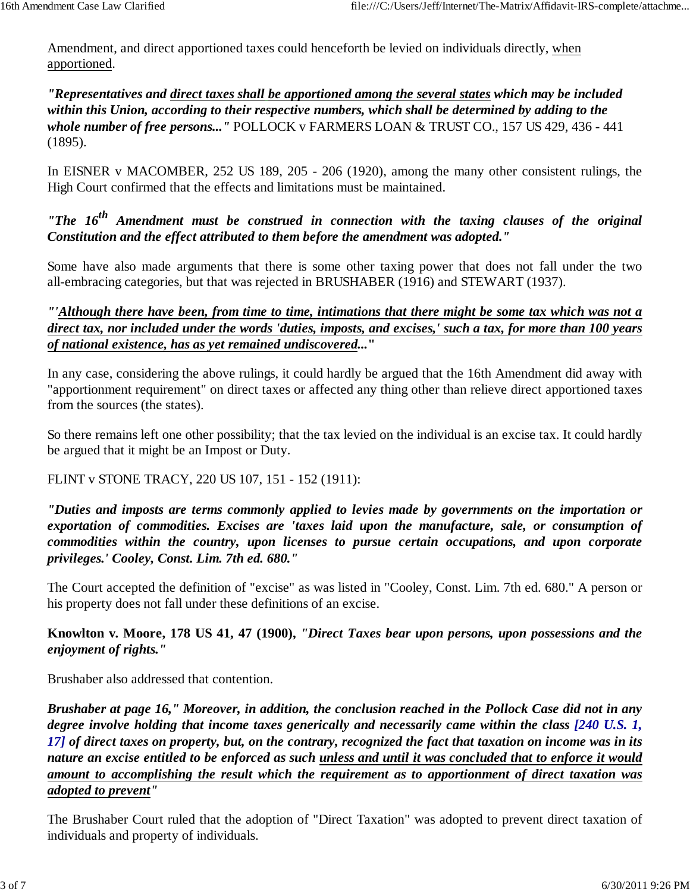Amendment, and direct apportioned taxes could henceforth be levied on individuals directly, when apportioned.

*"Representatives and direct taxes shall be apportioned among the several states which may be included within this Union, according to their respective numbers, which shall be determined by adding to the whole number of free persons..."* POLLOCK v FARMERS LOAN & TRUST CO., 157 US 429, 436 - 441 (1895).

In EISNER v MACOMBER, 252 US 189, 205 - 206 (1920), among the many other consistent rulings, the High Court confirmed that the effects and limitations must be maintained.

# *"The 16th Amendment must be construed in connection with the taxing clauses of the original Constitution and the effect attributed to them before the amendment was adopted."*

Some have also made arguments that there is some other taxing power that does not fall under the two all-embracing categories, but that was rejected in BRUSHABER (1916) and STEWART (1937).

*"'Although there have been, from time to time, intimations that there might be some tax which was not a direct tax, nor included under the words 'duties, imposts, and excises,' such a tax, for more than 100 years of national existence, has as yet remained undiscovered...***"**

In any case, considering the above rulings, it could hardly be argued that the 16th Amendment did away with "apportionment requirement" on direct taxes or affected any thing other than relieve direct apportioned taxes from the sources (the states).

So there remains left one other possibility; that the tax levied on the individual is an excise tax. It could hardly be argued that it might be an Impost or Duty.

#### FLINT v STONE TRACY, 220 US 107, 151 - 152 (1911):

*"Duties and imposts are terms commonly applied to levies made by governments on the importation or exportation of commodities. Excises are 'taxes laid upon the manufacture, sale, or consumption of commodities within the country, upon licenses to pursue certain occupations, and upon corporate privileges.' Cooley, Const. Lim. 7th ed. 680."*

The Court accepted the definition of "excise" as was listed in "Cooley, Const. Lim. 7th ed. 680." A person or his property does not fall under these definitions of an excise.

# **Knowlton v. Moore, 178 US 41, 47 (1900),** *"Direct Taxes bear upon persons, upon possessions and the enjoyment of rights."*

Brushaber also addressed that contention.

*Brushaber at page 16," Moreover, in addition, the conclusion reached in the Pollock Case did not in any degree involve holding that income taxes generically and necessarily came within the class [240 U.S. 1, 17] of direct taxes on property, but, on the contrary, recognized the fact that taxation on income was in its nature an excise entitled to be enforced as such unless and until it was concluded that to enforce it would amount to accomplishing the result which the requirement as to apportionment of direct taxation was adopted to prevent"*

The Brushaber Court ruled that the adoption of "Direct Taxation" was adopted to prevent direct taxation of individuals and property of individuals.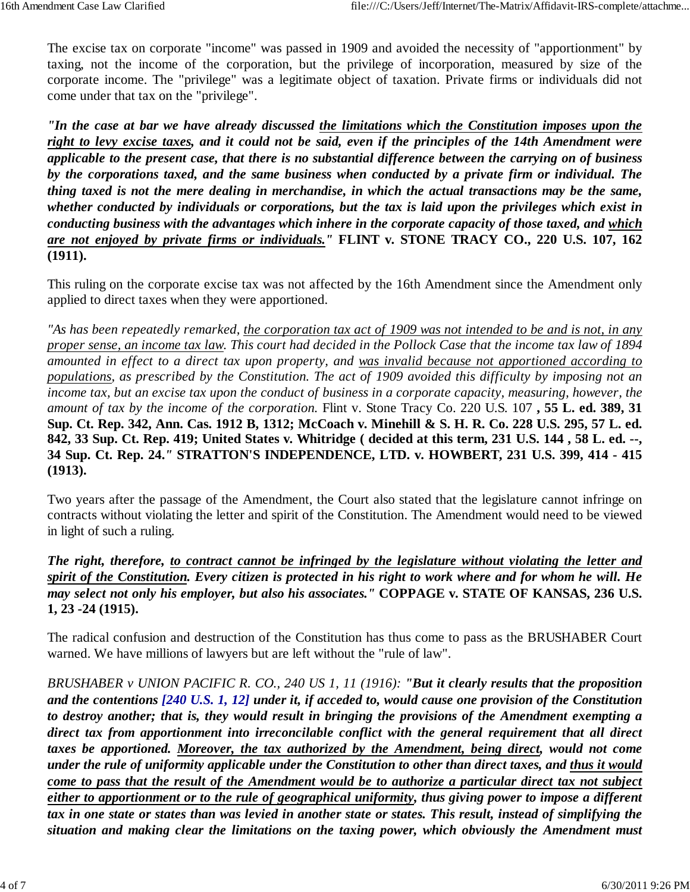The excise tax on corporate "income" was passed in 1909 and avoided the necessity of "apportionment" by taxing, not the income of the corporation, but the privilege of incorporation, measured by size of the corporate income. The "privilege" was a legitimate object of taxation. Private firms or individuals did not come under that tax on the "privilege".

*"In the case at bar we have already discussed the limitations which the Constitution imposes upon the right to levy excise taxes, and it could not be said, even if the principles of the 14th Amendment were applicable to the present case, that there is no substantial difference between the carrying on of business by the corporations taxed, and the same business when conducted by a private firm or individual. The thing taxed is not the mere dealing in merchandise, in which the actual transactions may be the same, whether conducted by individuals or corporations, but the tax is laid upon the privileges which exist in conducting business with the advantages which inhere in the corporate capacity of those taxed, and which are not enjoyed by private firms or individuals."* **FLINT v. STONE TRACY CO., 220 U.S. 107, 162 (1911).**

This ruling on the corporate excise tax was not affected by the 16th Amendment since the Amendment only applied to direct taxes when they were apportioned.

*"As has been repeatedly remarked, the corporation tax act of 1909 was not intended to be and is not, in any proper sense, an income tax law. This court had decided in the Pollock Case that the income tax law of 1894 amounted in effect to a direct tax upon property, and was invalid because not apportioned according to populations, as prescribed by the Constitution. The act of 1909 avoided this difficulty by imposing not an income tax, but an excise tax upon the conduct of business in a corporate capacity, measuring, however, the amount of tax by the income of the corporation.* Flint v. Stone Tracy Co. 220 U.S. 107 **, 55 L. ed. 389, 31 Sup. Ct. Rep. 342, Ann. Cas. 1912 B, 1312; McCoach v. Minehill & S. H. R. Co. 228 U.S. 295, 57 L. ed. 842, 33 Sup. Ct. Rep. 419; United States v. Whitridge ( decided at this term, 231 U.S. 144 , 58 L. ed. --, 34 Sup. Ct. Rep. 24.***"* **STRATTON'S INDEPENDENCE, LTD. v. HOWBERT, 231 U.S. 399, 414 - 415 (1913).**

Two years after the passage of the Amendment, the Court also stated that the legislature cannot infringe on contracts without violating the letter and spirit of the Constitution. The Amendment would need to be viewed in light of such a ruling.

*The right, therefore, to contract cannot be infringed by the legislature without violating the letter and spirit of the Constitution. Every citizen is protected in his right to work where and for whom he will. He may select not only his employer, but also his associates."* **COPPAGE v. STATE OF KANSAS, 236 U.S. 1, 23 -24 (1915).**

The radical confusion and destruction of the Constitution has thus come to pass as the BRUSHABER Court warned. We have millions of lawyers but are left without the "rule of law".

*BRUSHABER v UNION PACIFIC R. CO., 240 US 1, 11 (1916): "But it clearly results that the proposition and the contentions [240 U.S. 1, 12] under it, if acceded to, would cause one provision of the Constitution to destroy another; that is, they would result in bringing the provisions of the Amendment exempting a direct tax from apportionment into irreconcilable conflict with the general requirement that all direct taxes be apportioned. Moreover, the tax authorized by the Amendment, being direct, would not come under the rule of uniformity applicable under the Constitution to other than direct taxes, and thus it would come to pass that the result of the Amendment would be to authorize a particular direct tax not subject either to apportionment or to the rule of geographical uniformity, thus giving power to impose a different tax in one state or states than was levied in another state or states. This result, instead of simplifying the situation and making clear the limitations on the taxing power, which obviously the Amendment must*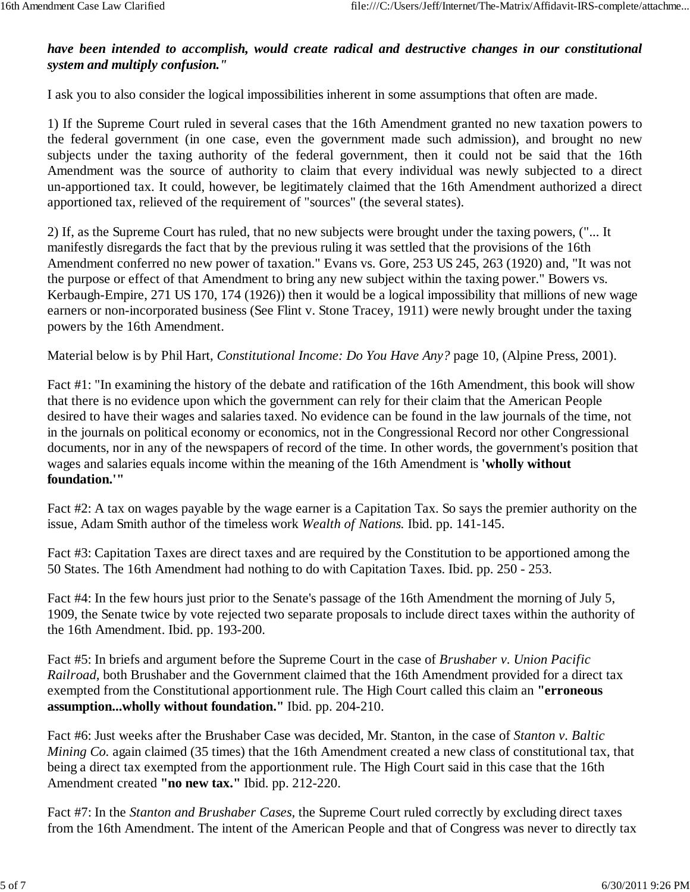# *have been intended to accomplish, would create radical and destructive changes in our constitutional system and multiply confusion."*

I ask you to also consider the logical impossibilities inherent in some assumptions that often are made.

1) If the Supreme Court ruled in several cases that the 16th Amendment granted no new taxation powers to the federal government (in one case, even the government made such admission), and brought no new subjects under the taxing authority of the federal government, then it could not be said that the 16th Amendment was the source of authority to claim that every individual was newly subjected to a direct un-apportioned tax. It could, however, be legitimately claimed that the 16th Amendment authorized a direct apportioned tax, relieved of the requirement of "sources" (the several states).

2) If, as the Supreme Court has ruled, that no new subjects were brought under the taxing powers, ("... It manifestly disregards the fact that by the previous ruling it was settled that the provisions of the 16th Amendment conferred no new power of taxation." Evans vs. Gore, 253 US 245, 263 (1920) and, "It was not the purpose or effect of that Amendment to bring any new subject within the taxing power." Bowers vs. Kerbaugh-Empire, 271 US 170, 174 (1926)) then it would be a logical impossibility that millions of new wage earners or non-incorporated business (See Flint v. Stone Tracey, 1911) were newly brought under the taxing powers by the 16th Amendment.

Material below is by Phil Hart, *Constitutional Income: Do You Have Any?* page 10, (Alpine Press, 2001).

Fact #1: "In examining the history of the debate and ratification of the 16th Amendment, this book will show that there is no evidence upon which the government can rely for their claim that the American People desired to have their wages and salaries taxed. No evidence can be found in the law journals of the time, not in the journals on political economy or economics, not in the Congressional Record nor other Congressional documents, nor in any of the newspapers of record of the time. In other words, the government's position that wages and salaries equals income within the meaning of the 16th Amendment is **'wholly without foundation.'"**

Fact #2: A tax on wages payable by the wage earner is a Capitation Tax. So says the premier authority on the issue, Adam Smith author of the timeless work *Wealth of Nations.* Ibid. pp. 141-145.

Fact #3: Capitation Taxes are direct taxes and are required by the Constitution to be apportioned among the 50 States. The 16th Amendment had nothing to do with Capitation Taxes. Ibid. pp. 250 - 253.

Fact #4: In the few hours just prior to the Senate's passage of the 16th Amendment the morning of July 5, 1909, the Senate twice by vote rejected two separate proposals to include direct taxes within the authority of the 16th Amendment. Ibid. pp. 193-200.

Fact #5: In briefs and argument before the Supreme Court in the case of *Brushaber v. Union Pacific Railroad,* both Brushaber and the Government claimed that the 16th Amendment provided for a direct tax exempted from the Constitutional apportionment rule. The High Court called this claim an **"erroneous assumption...wholly without foundation."** Ibid. pp. 204-210.

Fact #6: Just weeks after the Brushaber Case was decided, Mr. Stanton, in the case of *Stanton v. Baltic Mining Co.* again claimed (35 times) that the 16th Amendment created a new class of constitutional tax, that being a direct tax exempted from the apportionment rule. The High Court said in this case that the 16th Amendment created **"no new tax."** Ibid. pp. 212-220.

Fact #7: In the *Stanton and Brushaber Cases,* the Supreme Court ruled correctly by excluding direct taxes from the 16th Amendment. The intent of the American People and that of Congress was never to directly tax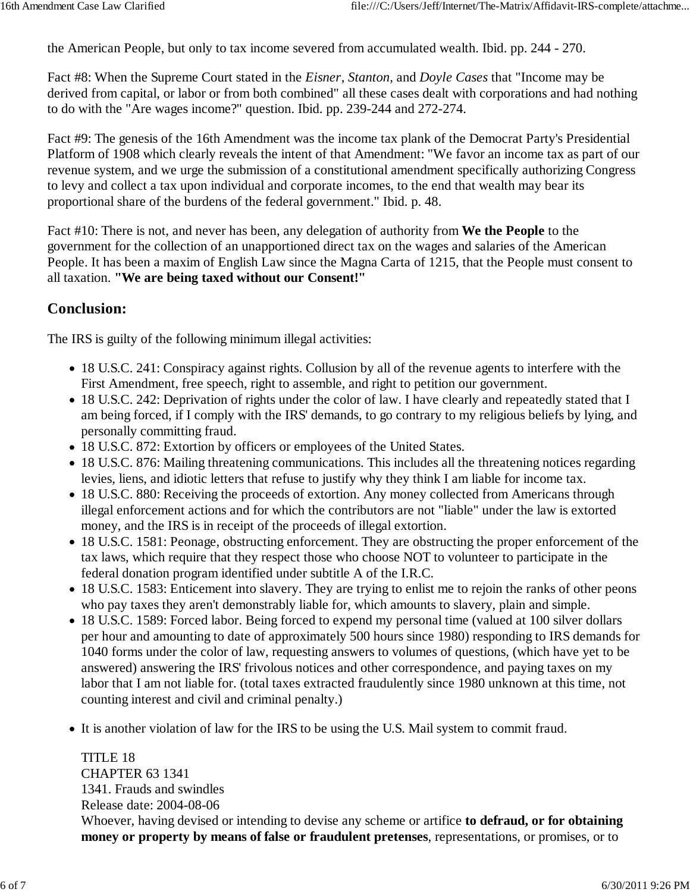the American People, but only to tax income severed from accumulated wealth. Ibid. pp. 244 - 270.

Fact #8: When the Supreme Court stated in the *Eisner, Stanton,* and *Doyle Cases* that "Income may be derived from capital, or labor or from both combined" all these cases dealt with corporations and had nothing to do with the "Are wages income?" question. Ibid. pp. 239-244 and 272-274.

Fact #9: The genesis of the 16th Amendment was the income tax plank of the Democrat Party's Presidential Platform of 1908 which clearly reveals the intent of that Amendment: "We favor an income tax as part of our revenue system, and we urge the submission of a constitutional amendment specifically authorizing Congress to levy and collect a tax upon individual and corporate incomes, to the end that wealth may bear its proportional share of the burdens of the federal government." Ibid. p. 48.

Fact #10: There is not, and never has been, any delegation of authority from **We the People** to the government for the collection of an unapportioned direct tax on the wages and salaries of the American People. It has been a maxim of English Law since the Magna Carta of 1215, that the People must consent to all taxation. **"We are being taxed without our Consent!"**

# **Conclusion:**

The IRS is guilty of the following minimum illegal activities:

- 18 U.S.C. 241: Conspiracy against rights. Collusion by all of the revenue agents to interfere with the First Amendment, free speech, right to assemble, and right to petition our government.
- 18 U.S.C. 242: Deprivation of rights under the color of law. I have clearly and repeatedly stated that I am being forced, if I comply with the IRS' demands, to go contrary to my religious beliefs by lying, and personally committing fraud.
- 18 U.S.C. 872: Extortion by officers or employees of the United States.
- 18 U.S.C. 876: Mailing threatening communications. This includes all the threatening notices regarding levies, liens, and idiotic letters that refuse to justify why they think I am liable for income tax.
- 18 U.S.C. 880: Receiving the proceeds of extortion. Any money collected from Americans through illegal enforcement actions and for which the contributors are not "liable" under the law is extorted money, and the IRS is in receipt of the proceeds of illegal extortion.
- 18 U.S.C. 1581: Peonage, obstructing enforcement. They are obstructing the proper enforcement of the tax laws, which require that they respect those who choose NOT to volunteer to participate in the federal donation program identified under subtitle A of the I.R.C.
- 18 U.S.C. 1583: Enticement into slavery. They are trying to enlist me to rejoin the ranks of other peons who pay taxes they aren't demonstrably liable for, which amounts to slavery, plain and simple.
- 18 U.S.C. 1589: Forced labor. Being forced to expend my personal time (valued at 100 silver dollars per hour and amounting to date of approximately 500 hours since 1980) responding to IRS demands for 1040 forms under the color of law, requesting answers to volumes of questions, (which have yet to be answered) answering the IRS' frivolous notices and other correspondence, and paying taxes on my labor that I am not liable for. (total taxes extracted fraudulently since 1980 unknown at this time, not counting interest and civil and criminal penalty.)
- It is another violation of law for the IRS to be using the U.S. Mail system to commit fraud.

TITLE 18 CHAPTER 63 1341 1341. Frauds and swindles Release date: 2004-08-06 Whoever, having devised or intending to devise any scheme or artifice **to defraud, or for obtaining money or property by means of false or fraudulent pretenses**, representations, or promises, or to